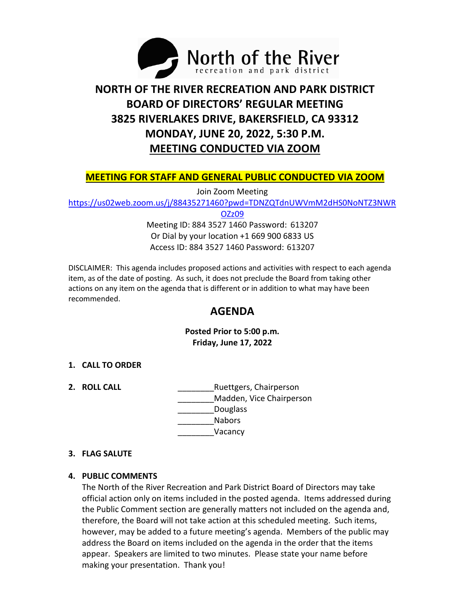

# **NORTH OF THE RIVER RECREATION AND PARK DISTRICT BOARD OF DIRECTORS' REGULAR MEETING 3825 RIVERLAKES DRIVE, BAKERSFIELD, CA 93312 MONDAY, JUNE 20, 2022, 5:30 P.M. MEETING CONDUCTED VIA ZOOM**

## **MEETING FOR STAFF AND GENERAL PUBLIC CONDUCTED VIA ZOOM**

Join Zoom Meeting

[https://us02web.zoom.us/j/88435271460?pwd=TDNZQTdnUWVmM2dHS0NoNTZ3NWR](https://us02web.zoom.us/j/88435271460?pwd=TDNZQTdnUWVmM2dHS0NoNTZ3NWROZz09)

[OZz09](https://us02web.zoom.us/j/88435271460?pwd=TDNZQTdnUWVmM2dHS0NoNTZ3NWROZz09)

Meeting ID: 884 3527 1460 Password: 613207 Or Dial by your location +1 669 900 6833 US Access ID: 884 3527 1460 Password: 613207

DISCLAIMER: This agenda includes proposed actions and activities with respect to each agenda item, as of the date of posting. As such, it does not preclude the Board from taking other actions on any item on the agenda that is different or in addition to what may have been recommended.

# **AGENDA**

**Posted Prior to 5:00 p.m. Friday, June 17, 2022**

#### **1. CALL TO ORDER**

**2. ROLL CALL Example 2. <b>RUETER** Ruettgers, Chairperson \_\_\_\_\_\_\_\_Madden, Vice Chairperson Douglass \_\_\_\_\_\_\_\_Nabors \_\_\_\_\_\_\_\_Vacancy

#### **3. FLAG SALUTE**

#### **4. PUBLIC COMMENTS**

The North of the River Recreation and Park District Board of Directors may take official action only on items included in the posted agenda. Items addressed during the Public Comment section are generally matters not included on the agenda and, therefore, the Board will not take action at this scheduled meeting. Such items, however, may be added to a future meeting's agenda. Members of the public may address the Board on items included on the agenda in the order that the items appear. Speakers are limited to two minutes. Please state your name before making your presentation. Thank you!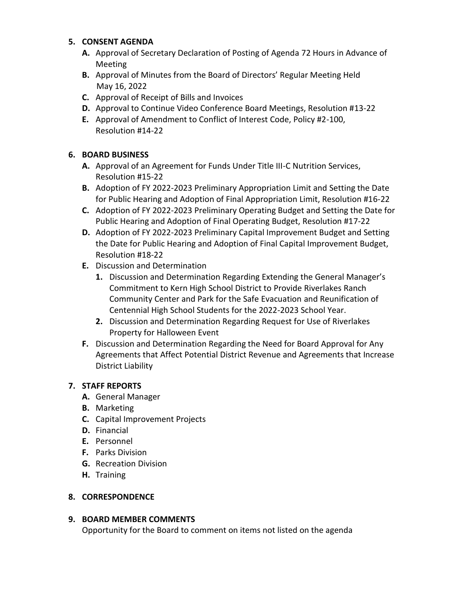#### **5. CONSENT AGENDA**

- **A.** Approval of Secretary Declaration of Posting of Agenda 72 Hours in Advance of Meeting
- **B.** Approval of Minutes from the Board of Directors' Regular Meeting Held May 16, 2022
- **C.** Approval of Receipt of Bills and Invoices
- **D.** Approval to Continue Video Conference Board Meetings, Resolution #13-22
- **E.** Approval of Amendment to Conflict of Interest Code, Policy #2-100, Resolution #14-22

# **6. BOARD BUSINESS**

- **A.** Approval of an Agreement for Funds Under Title III-C Nutrition Services, Resolution #15-22
- **B.** Adoption of FY 2022-2023 Preliminary Appropriation Limit and Setting the Date for Public Hearing and Adoption of Final Appropriation Limit, Resolution #16-22
- **C.** Adoption of FY 2022-2023 Preliminary Operating Budget and Setting the Date for Public Hearing and Adoption of Final Operating Budget, Resolution #17-22
- **D.** Adoption of FY 2022-2023 Preliminary Capital Improvement Budget and Setting the Date for Public Hearing and Adoption of Final Capital Improvement Budget, Resolution #18-22
- **E.** Discussion and Determination
	- **1.** Discussion and Determination Regarding Extending the General Manager's Commitment to Kern High School District to Provide Riverlakes Ranch Community Center and Park for the Safe Evacuation and Reunification of Centennial High School Students for the 2022-2023 School Year.
	- **2.** Discussion and Determination Regarding Request for Use of Riverlakes Property for Halloween Event
- **F.** Discussion and Determination Regarding the Need for Board Approval for Any Agreements that Affect Potential District Revenue and Agreements that Increase District Liability

# **7. STAFF REPORTS**

- **A.** General Manager
- **B.** Marketing
- **C.** Capital Improvement Projects
- **D.** Financial
- **E.** Personnel
- **F.** Parks Division
- **G.** Recreation Division
- **H.** Training

# **8. CORRESPONDENCE**

# **9. BOARD MEMBER COMMENTS**

Opportunity for the Board to comment on items not listed on the agenda